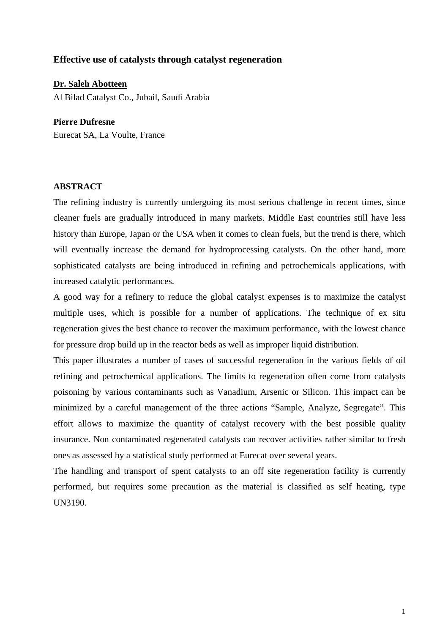## **Effective use of catalysts through catalyst regeneration**

**Dr. Saleh Abotteen** Al Bilad Catalyst Co., Jubail, Saudi Arabia

**Pierre Dufresne**  Eurecat SA, La Voulte, France

## **ABSTRACT**

The refining industry is currently undergoing its most serious challenge in recent times, since cleaner fuels are gradually introduced in many markets. Middle East countries still have less history than Europe, Japan or the USA when it comes to clean fuels, but the trend is there, which will eventually increase the demand for hydroprocessing catalysts. On the other hand, more sophisticated catalysts are being introduced in refining and petrochemicals applications, with increased catalytic performances.

A good way for a refinery to reduce the global catalyst expenses is to maximize the catalyst multiple uses, which is possible for a number of applications. The technique of ex situ regeneration gives the best chance to recover the maximum performance, with the lowest chance for pressure drop build up in the reactor beds as well as improper liquid distribution.

This paper illustrates a number of cases of successful regeneration in the various fields of oil refining and petrochemical applications. The limits to regeneration often come from catalysts poisoning by various contaminants such as Vanadium, Arsenic or Silicon. This impact can be minimized by a careful management of the three actions "Sample, Analyze, Segregate". This effort allows to maximize the quantity of catalyst recovery with the best possible quality insurance. Non contaminated regenerated catalysts can recover activities rather similar to fresh ones as assessed by a statistical study performed at Eurecat over several years.

The handling and transport of spent catalysts to an off site regeneration facility is currently performed, but requires some precaution as the material is classified as self heating, type UN3190.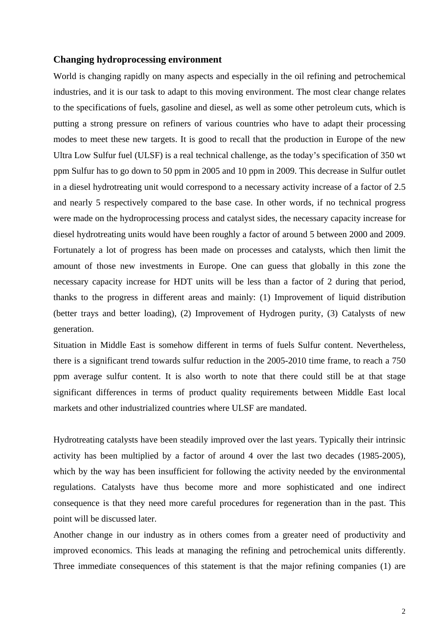### **Changing hydroprocessing environment**

World is changing rapidly on many aspects and especially in the oil refining and petrochemical industries, and it is our task to adapt to this moving environment. The most clear change relates to the specifications of fuels, gasoline and diesel, as well as some other petroleum cuts, which is putting a strong pressure on refiners of various countries who have to adapt their processing modes to meet these new targets. It is good to recall that the production in Europe of the new Ultra Low Sulfur fuel (ULSF) is a real technical challenge, as the today's specification of 350 wt ppm Sulfur has to go down to 50 ppm in 2005 and 10 ppm in 2009. This decrease in Sulfur outlet in a diesel hydrotreating unit would correspond to a necessary activity increase of a factor of 2.5 and nearly 5 respectively compared to the base case. In other words, if no technical progress were made on the hydroprocessing process and catalyst sides, the necessary capacity increase for diesel hydrotreating units would have been roughly a factor of around 5 between 2000 and 2009. Fortunately a lot of progress has been made on processes and catalysts, which then limit the amount of those new investments in Europe. One can guess that globally in this zone the necessary capacity increase for HDT units will be less than a factor of 2 during that period, thanks to the progress in different areas and mainly: (1) Improvement of liquid distribution (better trays and better loading), (2) Improvement of Hydrogen purity, (3) Catalysts of new generation.

Situation in Middle East is somehow different in terms of fuels Sulfur content. Nevertheless, there is a significant trend towards sulfur reduction in the 2005-2010 time frame, to reach a 750 ppm average sulfur content. It is also worth to note that there could still be at that stage significant differences in terms of product quality requirements between Middle East local markets and other industrialized countries where ULSF are mandated.

Hydrotreating catalysts have been steadily improved over the last years. Typically their intrinsic activity has been multiplied by a factor of around 4 over the last two decades (1985-2005), which by the way has been insufficient for following the activity needed by the environmental regulations. Catalysts have thus become more and more sophisticated and one indirect consequence is that they need more careful procedures for regeneration than in the past. This point will be discussed later.

Another change in our industry as in others comes from a greater need of productivity and improved economics. This leads at managing the refining and petrochemical units differently. Three immediate consequences of this statement is that the major refining companies (1) are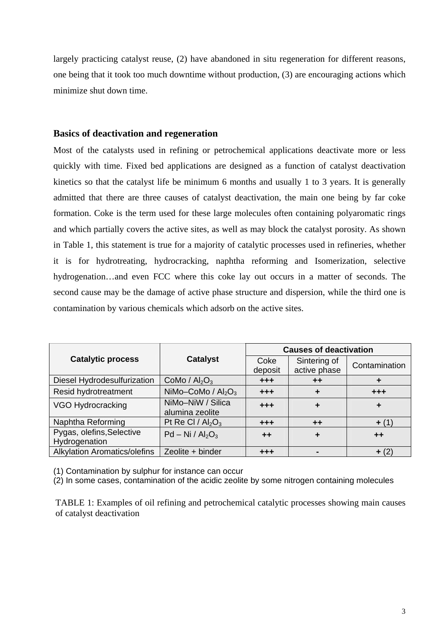largely practicing catalyst reuse, (2) have abandoned in situ regeneration for different reasons, one being that it took too much downtime without production, (3) are encouraging actions which minimize shut down time.

## **Basics of deactivation and regeneration**

Most of the catalysts used in refining or petrochemical applications deactivate more or less quickly with time. Fixed bed applications are designed as a function of catalyst deactivation kinetics so that the catalyst life be minimum 6 months and usually 1 to 3 years. It is generally admitted that there are three causes of catalyst deactivation, the main one being by far coke formation. Coke is the term used for these large molecules often containing polyaromatic rings and which partially covers the active sites, as well as may block the catalyst porosity. As shown in Table 1, this statement is true for a majority of catalytic processes used in refineries, whether it is for hydrotreating, hydrocracking, naphtha reforming and Isomerization, selective hydrogenation…and even FCC where this coke lay out occurs in a matter of seconds. The second cause may be the damage of active phase structure and dispersion, while the third one is contamination by various chemicals which adsorb on the active sites.

|                                            | <b>Catalyst</b>                      | <b>Causes of deactivation</b> |                              |               |
|--------------------------------------------|--------------------------------------|-------------------------------|------------------------------|---------------|
| <b>Catalytic process</b>                   |                                      | Coke<br>deposit               | Sintering of<br>active phase | Contamination |
| Diesel Hydrodesulfurization                | CoMo / $Al_2O_3$                     | $+ + +$                       | $++$                         |               |
| Resid hydrotreatment                       | NiMo-CoMo / $Al_2O_3$                | $+ + +$                       | ÷                            | $+ + +$       |
| VGO Hydrocracking                          | NiMo-NiW / Silica<br>alumina zeolite | $+ + +$                       | ٠                            |               |
| Naphtha Reforming                          | Pt Re Cl / $Al_2O_3$                 | $+ + +$                       | $++$                         | $+ (1)$       |
| Pygas, olefins, Selective<br>Hydrogenation | $Pd - Ni / Al2O3$                    | $++$                          |                              | $++$          |
| <b>Alkylation Aromatics/olefins</b>        | Zeolite + binder                     | $+ + +$                       |                              | $+ (2)$       |

(1) Contamination by sulphur for instance can occur

(2) In some cases, contamination of the acidic zeolite by some nitrogen containing molecules

TABLE 1: Examples of oil refining and petrochemical catalytic processes showing main causes of catalyst deactivation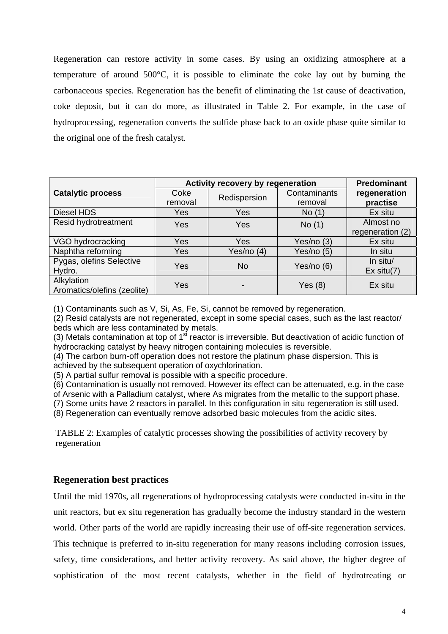Regeneration can restore activity in some cases. By using an oxidizing atmosphere at a temperature of around 500°C, it is possible to eliminate the coke lay out by burning the carbonaceous species. Regeneration has the benefit of eliminating the 1st cause of deactivation, coke deposit, but it can do more, as illustrated in Table 2. For example, in the case of hydroprocessing, regeneration converts the sulfide phase back to an oxide phase quite similar to the original one of the fresh catalyst.

|                                           | Activity recovery by regeneration | Predominant  |                         |                               |
|-------------------------------------------|-----------------------------------|--------------|-------------------------|-------------------------------|
| <b>Catalytic process</b>                  | Coke<br>removal                   | Redispersion | Contaminants<br>removal | regeneration<br>practise      |
| Diesel HDS                                | Yes                               | Yes          | No(1)                   | Ex situ                       |
| Resid hydrotreatment                      | Yes                               | Yes          | No(1)                   | Almost no<br>regeneration (2) |
| VGO hydrocracking                         | Yes                               | Yes          | Yes/no (3)              | Ex situ                       |
| Naphtha reforming                         | Yes                               | Yes/no (4)   | Yes/no (5)              | In situ                       |
| Pygas, olefins Selective<br>Hydro.        | Yes                               | No           | Yes/no (6)              | In situ/<br>$Ex$ situ $(7)$   |
| Alkylation<br>Aromatics/olefins (zeolite) | Yes                               |              | Yes $(8)$               | Ex situ                       |

(1) Contaminants such as V, Si, As, Fe, Si, cannot be removed by regeneration.

(2) Resid catalysts are not regenerated, except in some special cases, such as the last reactor/ beds which are less contaminated by metals.

(3) Metals contamination at top of  $1^{st}$  reactor is irreversible. But deactivation of acidic function of hydrocracking catalyst by heavy nitrogen containing molecules is reversible.

(4) The carbon burn-off operation does not restore the platinum phase dispersion. This is achieved by the subsequent operation of oxychlorination.

(5) A partial sulfur removal is possible with a specific procedure.

(6) Contamination is usually not removed. However its effect can be attenuated, e.g. in the case of Arsenic with a Palladium catalyst, where As migrates from the metallic to the support phase.

(7) Some units have 2 reactors in parallel. In this configuration in situ regeneration is still used.

(8) Regeneration can eventually remove adsorbed basic molecules from the acidic sites.

TABLE 2: Examples of catalytic processes showing the possibilities of activity recovery by regeneration

# **Regeneration best practices**

Until the mid 1970s, all regenerations of hydroprocessing catalysts were conducted in-situ in the unit reactors, but ex situ regeneration has gradually become the industry standard in the western world. Other parts of the world are rapidly increasing their use of off-site regeneration services. This technique is preferred to in-situ regeneration for many reasons including corrosion issues, safety, time considerations, and better activity recovery. As said above, the higher degree of sophistication of the most recent catalysts, whether in the field of hydrotreating or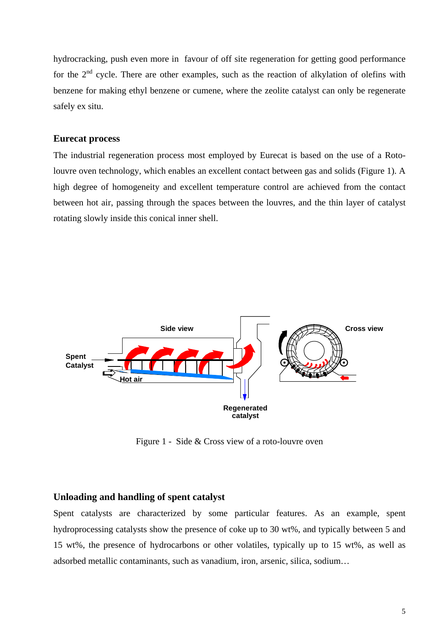hydrocracking, push even more in favour of off site regeneration for getting good performance for the  $2<sup>nd</sup>$  cycle. There are other examples, such as the reaction of alkylation of olefins with benzene for making ethyl benzene or cumene, where the zeolite catalyst can only be regenerate safely ex situ.

### **Eurecat process**

The industrial regeneration process most employed by Eurecat is based on the use of a Rotolouvre oven technology, which enables an excellent contact between gas and solids (Figure 1). A high degree of homogeneity and excellent temperature control are achieved from the contact between hot air, passing through the spaces between the louvres, and the thin layer of catalyst rotating slowly inside this conical inner shell.



Figure 1 - Side & Cross view of a roto-louvre oven

#### **Unloading and handling of spent catalyst**

Spent catalysts are characterized by some particular features. As an example, spent hydroprocessing catalysts show the presence of coke up to 30 wt%, and typically between 5 and 15 wt%, the presence of hydrocarbons or other volatiles, typically up to 15 wt%, as well as adsorbed metallic contaminants, such as vanadium, iron, arsenic, silica, sodium…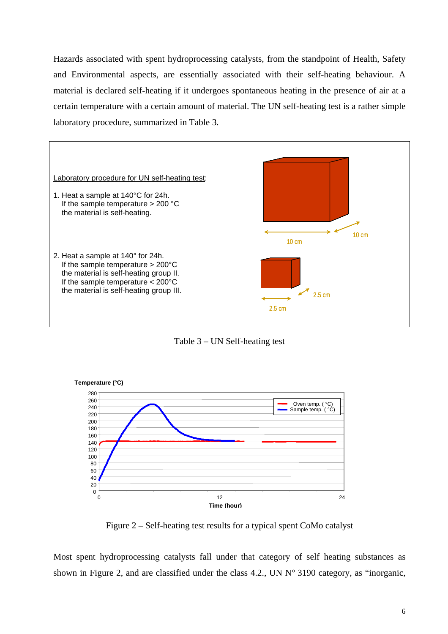Hazards associated with spent hydroprocessing catalysts, from the standpoint of Health, Safety and Environmental aspects, are essentially associated with their self-heating behaviour. A material is declared self-heating if it undergoes spontaneous heating in the presence of air at a certain temperature with a certain amount of material. The UN self-heating test is a rather simple laboratory procedure, summarized in Table 3.







Figure 2 – Self-heating test results for a typical spent CoMo catalyst

Most spent hydroprocessing catalysts fall under that category of self heating substances as shown in Figure 2, and are classified under the class 4.2., UN N° 3190 category, as "inorganic,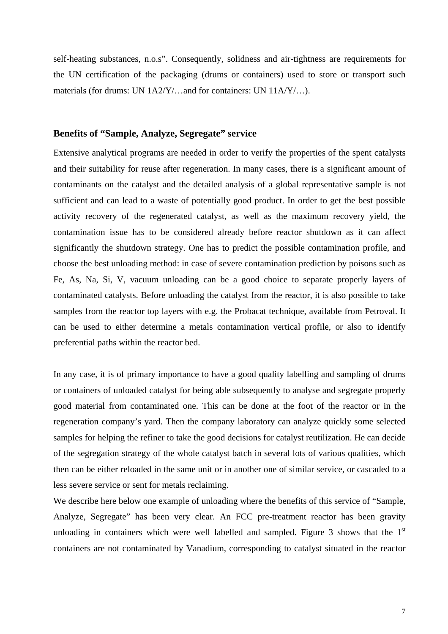self-heating substances, n.o.s". Consequently, solidness and air-tightness are requirements for the UN certification of the packaging (drums or containers) used to store or transport such materials (for drums: UN 1A2/Y/…and for containers: UN 11A/Y/…).

### **Benefits of "Sample, Analyze, Segregate" service**

Extensive analytical programs are needed in order to verify the properties of the spent catalysts and their suitability for reuse after regeneration. In many cases, there is a significant amount of contaminants on the catalyst and the detailed analysis of a global representative sample is not sufficient and can lead to a waste of potentially good product. In order to get the best possible activity recovery of the regenerated catalyst, as well as the maximum recovery yield, the contamination issue has to be considered already before reactor shutdown as it can affect significantly the shutdown strategy. One has to predict the possible contamination profile, and choose the best unloading method: in case of severe contamination prediction by poisons such as Fe, As, Na, Si, V, vacuum unloading can be a good choice to separate properly layers of contaminated catalysts. Before unloading the catalyst from the reactor, it is also possible to take samples from the reactor top layers with e.g. the Probacat technique, available from Petroval. It can be used to either determine a metals contamination vertical profile, or also to identify preferential paths within the reactor bed.

In any case, it is of primary importance to have a good quality labelling and sampling of drums or containers of unloaded catalyst for being able subsequently to analyse and segregate properly good material from contaminated one. This can be done at the foot of the reactor or in the regeneration company's yard. Then the company laboratory can analyze quickly some selected samples for helping the refiner to take the good decisions for catalyst reutilization. He can decide of the segregation strategy of the whole catalyst batch in several lots of various qualities, which then can be either reloaded in the same unit or in another one of similar service, or cascaded to a less severe service or sent for metals reclaiming.

We describe here below one example of unloading where the benefits of this service of "Sample, Analyze, Segregate" has been very clear. An FCC pre-treatment reactor has been gravity unloading in containers which were well labelled and sampled. Figure 3 shows that the  $1<sup>st</sup>$ containers are not contaminated by Vanadium, corresponding to catalyst situated in the reactor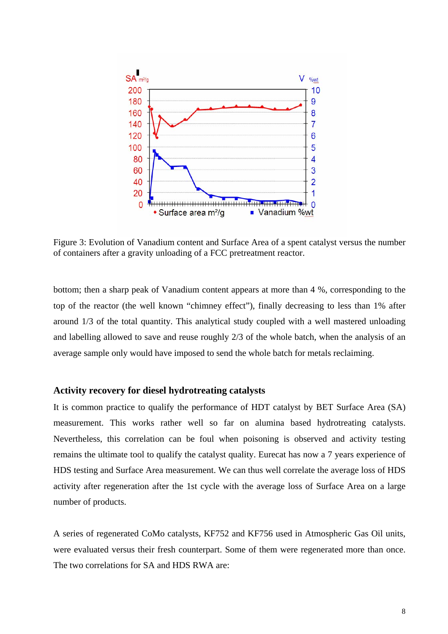

Figure 3: Evolution of Vanadium content and Surface Area of a spent catalyst versus the number of containers after a gravity unloading of a FCC pretreatment reactor.

bottom; then a sharp peak of Vanadium content appears at more than 4 %, corresponding to the top of the reactor (the well known "chimney effect"), finally decreasing to less than 1% after around 1/3 of the total quantity. This analytical study coupled with a well mastered unloading and labelling allowed to save and reuse roughly 2/3 of the whole batch, when the analysis of an average sample only would have imposed to send the whole batch for metals reclaiming.

### **Activity recovery for diesel hydrotreating catalysts**

It is common practice to qualify the performance of HDT catalyst by BET Surface Area (SA) measurement. This works rather well so far on alumina based hydrotreating catalysts. Nevertheless, this correlation can be foul when poisoning is observed and activity testing remains the ultimate tool to qualify the catalyst quality. Eurecat has now a 7 years experience of HDS testing and Surface Area measurement. We can thus well correlate the average loss of HDS activity after regeneration after the 1st cycle with the average loss of Surface Area on a large number of products.

A series of regenerated CoMo catalysts, KF752 and KF756 used in Atmospheric Gas Oil units, were evaluated versus their fresh counterpart. Some of them were regenerated more than once. The two correlations for SA and HDS RWA are: